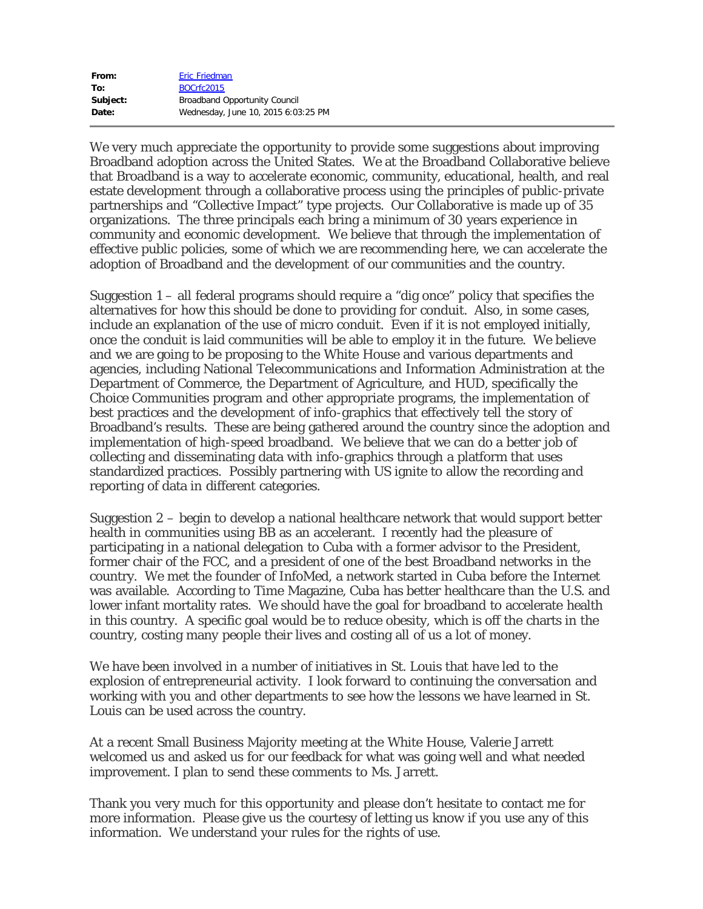| From:    | Eric Friedman                        |
|----------|--------------------------------------|
| To:      | BOCrfc2015                           |
| Subject: | <b>Broadband Opportunity Council</b> |
| Date:    | Wednesday, June 10, 2015 6:03:25 PM  |

We very much appreciate the opportunity to provide some suggestions about improving Broadband adoption across the United States. We at the Broadband Collaborative believe that Broadband is a way to accelerate economic, community, educational, health, and real estate development through a collaborative process using the principles of public-private partnerships and "Collective Impact" type projects. Our Collaborative is made up of 35 organizations. The three principals each bring a minimum of 30 years experience in community and economic development. We believe that through the implementation of effective public policies, some of which we are recommending here, we can accelerate the adoption of Broadband and the development of our communities and the country.

Suggestion 1 – all federal programs should require a "dig once" policy that specifies the alternatives for how this should be done to providing for conduit. Also, in some cases, include an explanation of the use of micro conduit. Even if it is not employed initially, once the conduit is laid communities will be able to employ it in the future. We believe and we are going to be proposing to the White House and various departments and agencies, including National Telecommunications and Information Administration at the Department of Commerce, the Department of Agriculture, and HUD, specifically the Choice Communities program and other appropriate programs, the implementation of best practices and the development of info-graphics that effectively tell the story of Broadband's results. These are being gathered around the country since the adoption and implementation of high-speed broadband. We believe that we can do a better job of collecting and disseminating data with info-graphics through a platform that uses standardized practices. Possibly partnering with US ignite to allow the recording and reporting of data in different categories.

Suggestion 2 – begin to develop a national healthcare network that would support better health in communities using BB as an accelerant. I recently had the pleasure of participating in a national delegation to Cuba with a former advisor to the President, former chair of the FCC, and a president of one of the best Broadband networks in the country. We met the founder of InfoMed, a network started in Cuba before the Internet was available. According to Time Magazine, Cuba has better healthcare than the U.S. and lower infant mortality rates. We should have the goal for broadband to accelerate health in this country. A specific goal would be to reduce obesity, which is off the charts in the country, costing many people their lives and costing all of us a lot of money.

We have been involved in a number of initiatives in St. Louis that have led to the explosion of entrepreneurial activity. I look forward to continuing the conversation and working with you and other departments to see how the lessons we have learned in St. Louis can be used across the country.

At a recent Small Business Majority meeting at the White House, Valerie Jarrett welcomed us and asked us for our feedback for what was going well and what needed improvement. I plan to send these comments to Ms. Jarrett.

Thank you very much for this opportunity and please don't hesitate to contact me for more information. Please give us the courtesy of letting us know if you use any of this information. We understand your rules for the rights of use.